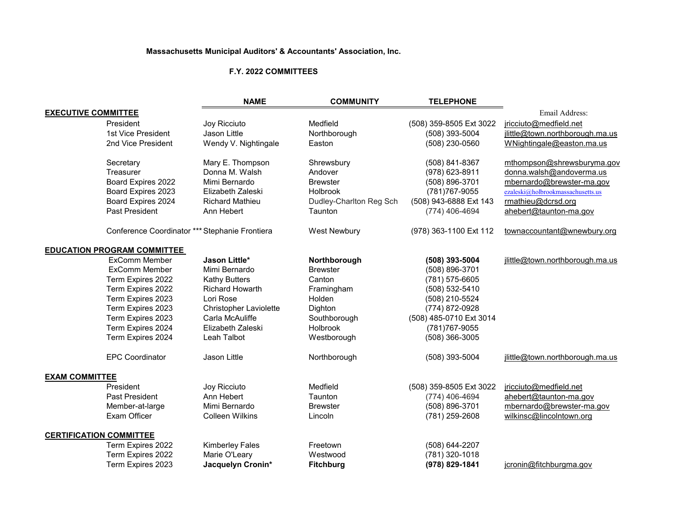## **Massachusetts Municipal Auditors' & Accountants' Association, Inc.**

## **F.Y. 2022 COMMITTEES**

|                                |                                                | <b>NAME</b>                   | <b>COMMUNITY</b>        | <b>TELEPHONE</b>        |                                   |
|--------------------------------|------------------------------------------------|-------------------------------|-------------------------|-------------------------|-----------------------------------|
| <b>EXECUTIVE COMMITTEE</b>     |                                                |                               |                         |                         | Email Address:                    |
|                                | President                                      | Joy Ricciuto                  | Medfield                | (508) 359-8505 Ext 3022 | jricciuto@medfield.net            |
|                                | 1st Vice President                             | Jason Little                  | Northborough            | (508) 393-5004          | jlittle@town.northborough.ma.us   |
|                                | 2nd Vice President                             | Wendy V. Nightingale          | Easton                  | (508) 230-0560          | WNightingale@easton.ma.us         |
|                                | Secretary                                      | Mary E. Thompson              | Shrewsbury              | (508) 841-8367          | mthompson@shrewsburyma.gov        |
|                                | Treasurer                                      | Donna M. Walsh                | Andover                 | (978) 623-8911          | donna.walsh@andoverma.us          |
|                                | Board Expires 2022                             | Mimi Bernardo                 | <b>Brewster</b>         | (508) 896-3701          | mbernardo@brewster-ma.gov         |
|                                | Board Expires 2023                             | Elizabeth Zaleski             | Holbrook                | (781) 767-9055          | ezaleski@holbrookmassachusetts.us |
|                                | Board Expires 2024                             | <b>Richard Mathieu</b>        | Dudley-Charlton Reg Sch | (508) 943-6888 Ext 143  | rmathieu@dcrsd.org                |
|                                | <b>Past President</b>                          | Ann Hebert                    | Taunton                 | (774) 406-4694          | ahebert@taunton-ma.gov            |
|                                | Conference Coordinator *** Stephanie Frontiera |                               | <b>West Newbury</b>     | (978) 363-1100 Ext 112  | townaccountant@wnewbury.org       |
|                                | <b>EDUCATION PROGRAM COMMITTEE</b>             |                               |                         |                         |                                   |
|                                | <b>ExComm Member</b>                           | Jason Little*                 | Northborough            | (508) 393-5004          | jlittle@town.northborough.ma.us   |
|                                | <b>ExComm Member</b>                           | Mimi Bernardo                 | <b>Brewster</b>         | (508) 896-3701          |                                   |
|                                | Term Expires 2022                              | <b>Kathy Butters</b>          | Canton                  | (781) 575-6605          |                                   |
|                                | Term Expires 2022                              | <b>Richard Howarth</b>        | Framingham              | (508) 532-5410          |                                   |
|                                | Term Expires 2023                              | Lori Rose                     | Holden                  | (508) 210-5524          |                                   |
|                                | Term Expires 2023                              | <b>Christopher Laviolette</b> | Dighton                 | (774) 872-0928          |                                   |
|                                | Term Expires 2023                              | Carla McAuliffe               | Southborough            | (508) 485-0710 Ext 3014 |                                   |
|                                | Term Expires 2024                              | Elizabeth Zaleski             | <b>Holbrook</b>         | (781) 767-9055          |                                   |
|                                | Term Expires 2024                              | Leah Talbot                   | Westborough             | (508) 366-3005          |                                   |
|                                | <b>EPC Coordinator</b>                         | Jason Little                  | Northborough            | (508) 393-5004          | jlittle@town.northborough.ma.us   |
| <b>EXAM COMMITTEE</b>          |                                                |                               |                         |                         |                                   |
|                                | President                                      | Joy Ricciuto                  | Medfield                | (508) 359-8505 Ext 3022 | jricciuto@medfield.net            |
|                                | Past President                                 | Ann Hebert                    | Taunton                 | (774) 406-4694          | ahebert@taunton-ma.gov            |
|                                | Member-at-large                                | Mimi Bernardo                 | <b>Brewster</b>         | (508) 896-3701          | mbernardo@brewster-ma.gov         |
|                                | <b>Exam Officer</b>                            | <b>Colleen Wilkins</b>        | Lincoln                 | (781) 259-2608          | wilkinsc@lincolntown.org          |
| <b>CERTIFICATION COMMITTEE</b> |                                                |                               |                         |                         |                                   |
|                                | Term Expires 2022                              | <b>Kimberley Fales</b>        | Freetown                | (508) 644-2207          |                                   |
|                                | Term Expires 2022                              | Marie O'Leary                 | Westwood                | (781) 320-1018          |                                   |
|                                | Term Expires 2023                              | Jacquelyn Cronin*             | <b>Fitchburg</b>        | (978) 829-1841          | jcronin@fitchburgma.gov           |